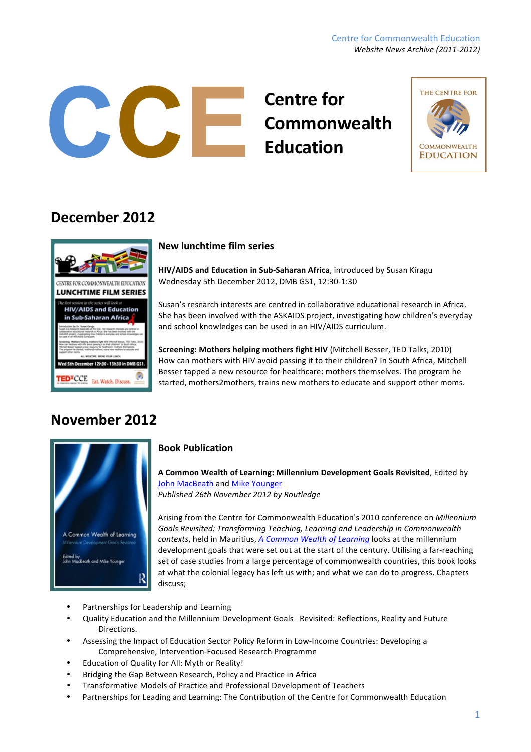#### Centre for Commonwealth Education *Website News Archive (2011-2012)*

# **Centre for Commonwealth**<br> **Commonwealth**<br> **Commonwealth**<br> **Commonwealth**



### **December'2012**



#### **New'lunchtime'film'series**

**HIV/AIDS and Education in Sub-Saharan Africa**, introduced by Susan Kiragu Wednesday 5th December 2012, DMB GS1, 12:30-1:30

Susan's research interests are centred in collaborative educational research in Africa. She has been involved with the ASKAIDS project, investigating how children's everyday and school knowledges can be used in an HIV/AIDS curriculum.

**Screening: Mothers helping mothers fight HIV** (Mitchell Besser, TED Talks, 2010) How can mothers with HIV avoid passing it to their children? In South Africa, Mitchell Besser tapped a new resource for healthcare: mothers themselves. The program he started, mothers2mothers, trains new mothers to educate and support other moms.

### **November'2012**



### **Book'Publication**

**A Common Wealth of Learning: Millennium Development Goals Revisited, Edited by** John MacBeath and Mike Younger *Published'26th'November'2012'by'Routledge*

Arising from the Centre for Commonwealth Education's 2010 conference on *Millennium Goals'Revisited:'Transforming'Teaching,'Learning'and'Leadership'in'Commonwealth' contexts*, held in Mauritius, A Common Wealth of Learning looks at the millennium development goals that were set out at the start of the century. Utilising a far-reaching set of case studies from a large percentage of commonwealth countries, this book looks at what the colonial legacy has left us with; and what we can do to progress. Chapters discuss;

- Partnerships for Leadership and Learning
- Quality Education and the Millennium Development Goals Revisited: Reflections, Reality and Future Directions.
- \* Assessing the Impact of Education Sector Policy Reform in Low-Income Countries: Developing a Comprehensive, Intervention-Focused Research Programme
- Education of Quality for All: Myth or Reality!
- Bridging the Gap Between Research, Policy and Practice in Africa
- Transformative Models of Practice and Professional Development of Teachers
- Partnerships for Leading and Learning: The Contribution of the Centre for Commonwealth Education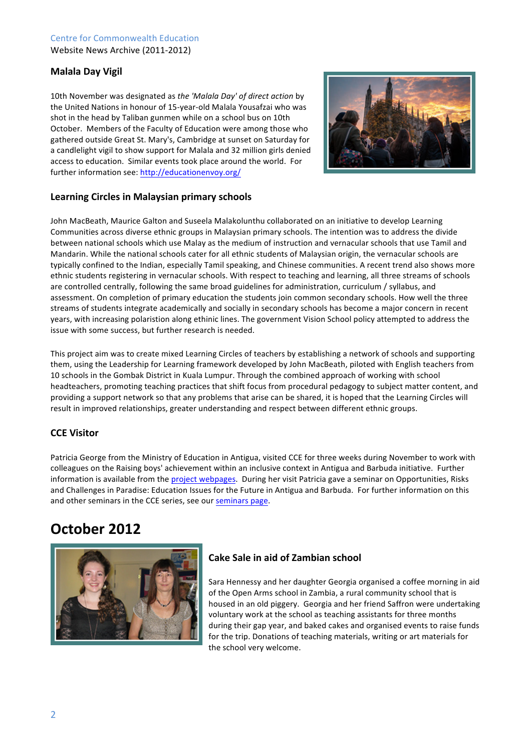#### Centre for Commonwealth Education Website News Archive (2011-2012)

### **Malala'Day'Vigil**

10th November was designated as the 'Malala Day' of direct action by the United Nations in honour of 15-year-old Malala Yousafzai who was shot in the head by Taliban gunmen while on a school bus on 10th October. Members of the Faculty of Education were among those who gathered outside Great St. Mary's, Cambridge at sunset on Saturday for a candlelight vigil to show support for Malala and 32 million girls denied access to education. Similar events took place around the world. For further information see: http://educationenvoy.org/



#### Learning Circles in Malaysian primary schools

John MacBeath, Maurice Galton and Suseela Malakolunthu collaborated on an initiative to develop Learning Communities across diverse ethnic groups in Malaysian primary schools. The intention was to address the divide between national schools which use Malay as the medium of instruction and vernacular schools that use Tamil and Mandarin. While the national schools cater for all ethnic students of Malaysian origin, the vernacular schools are typically confined to the Indian, especially Tamil speaking, and Chinese communities. A recent trend also shows more ethnic students registering in vernacular schools. With respect to teaching and learning, all three streams of schools are controlled centrally, following the same broad guidelines for administration, curriculum / syllabus, and assessment. On completion of primary education the students join common secondary schools. How well the three streams of students integrate academically and socially in secondary schools has become a major concern in recent years, with increasing polaristion along ethinic lines. The government Vision School policy attempted to address the issue with some success, but further research is needed.

This project aim was to create mixed Learning Circles of teachers by establishing a network of schools and supporting them, using the Leadership for Learning framework developed by John MacBeath, piloted with English teachers from 10 schools in the Gombak District in Kuala Lumpur. Through the combined approach of working with school headteachers, promoting teaching practices that shift focus from procedural pedagogy to subject matter content, and providing a support network so that any problems that arise can be shared, it is hoped that the Learning Circles will result in improved relationships, greater understanding and respect between different ethnic groups.

#### **CCE Visitor**

Patricia George from the Ministry of Education in Antigua, visited CCE for three weeks during November to work with colleagues on the Raising boys' achievement within an inclusive context in Antigua and Barbuda initiative. Further information is available from the project webpages. During her visit Patricia gave a seminar on Opportunities, Risks and Challenges in Paradise: Education Issues for the Future in Antigua and Barbuda. For further information on this and other seminars in the CCE series, see our seminars page.

### **October'2012**



### **Cake Sale in aid of Zambian school**

Sara Hennessy and her daughter Georgia organised a coffee morning in aid of the Open Arms school in Zambia, a rural community school that is housed in an old piggery. Georgia and her friend Saffron were undertaking voluntary work at the school as teaching assistants for three months during their gap year, and baked cakes and organised events to raise funds for the trip. Donations of teaching materials, writing or art materials for the school very welcome.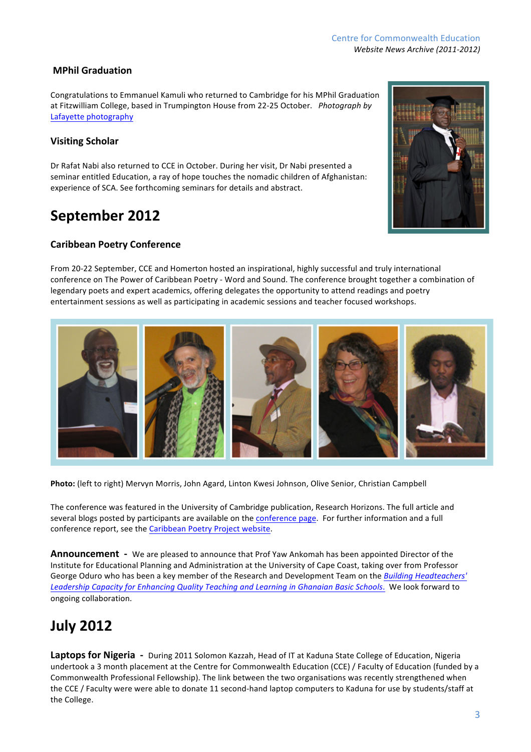#### Centre for Commonwealth Education *Website News Archive (2011-2012)*

### **MPhil'Graduation**

Congratulations to Emmanuel Kamuli who returned to Cambridge for his MPhil Graduation at Fitzwilliam College, based in Trumpington House from 22-25 October. Photograph by Lafayette photography

#### **Visiting Scholar**

Dr Rafat Nabi also returned to CCE in October. During her visit, Dr Nabi presented a seminar entitled Education, a ray of hope touches the nomadic children of Afghanistan: experience of SCA. See forthcoming seminars for details and abstract.

### September 2012

#### **Caribbean'Poetry'Conference**

From 20-22 September, CCE and Homerton hosted an inspirational, highly successful and truly international conference on The Power of Caribbean Poetry - Word and Sound. The conference brought together a combination of legendary poets and expert academics, offering delegates the opportunity to attend readings and poetry entertainment sessions as well as participating in academic sessions and teacher focused workshops.

Photo: (left to right) Mervyn Morris, John Agard, Linton Kwesi Johnson, Olive Senior, Christian Campbell

The conference was featured in the University of Cambridge publication, Research Horizons. The full article and several blogs posted by participants are available on the conference page. For further information and a full conference report, see the Caribbean Poetry Project website.

**Announcement** - We are pleased to announce that Prof Yaw Ankomah has been appointed Director of the Institute for Educational Planning and Administration at the University of Cape Coast, taking over from Professor George Oduro who has been a key member of the Research and Development Team on the Building Headteachers' Leadership Capacity for Enhancing Quality Teaching and Learning in Ghanaian Basic Schools. We look forward to ongoing collaboration.

# **July'2012**

Laptops for Nigeria - During 2011 Solomon Kazzah, Head of IT at Kaduna State College of Education, Nigeria undertook a 3 month placement at the Centre for Commonwealth Education (CCE) / Faculty of Education (funded by a Commonwealth Professional Fellowship). The link between the two organisations was recently strengthened when the CCE / Faculty were were able to donate 11 second-hand laptop computers to Kaduna for use by students/staff at the College.





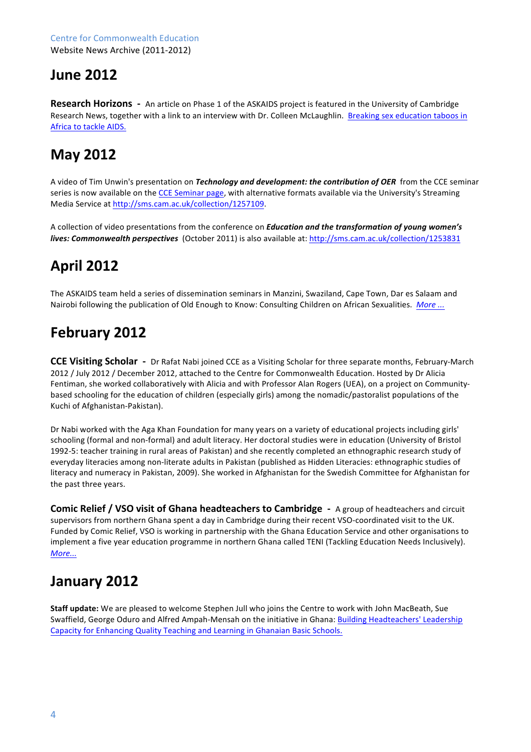### **June'2012**

**Research Horizons** - An article on Phase 1 of the ASKAIDS project is featured in the University of Cambridge Research News, together with a link to an interview with Dr. Colleen McLaughlin. Breaking sex education taboos in Africa to tackle AIDS.

# **May'2012''**

A video of Tim Unwin's presentation on *Technology and development: the contribution of OER* from the CCE seminar series is now available on the CCE Seminar page, with alternative formats available via the University's Streaming Media Service at http://sms.cam.ac.uk/collection/1257109.

A collection of video presentations from the conference on *Education and the transformation of young women's lives: Commonwealth perspectives* (October 2011) is also available at: http://sms.cam.ac.uk/collection/1253831

# **April'2012**

The ASKAIDS team held a series of dissemination seminars in Manzini, Swaziland, Cape Town, Dar es Salaam and Nairobi following the publication of Old Enough to Know: Consulting Children on African Sexualities. *More* ...

# **February'2012**

**CCE Visiting Scholar** - Dr Rafat Nabi joined CCE as a Visiting Scholar for three separate months, February-March 2012 / July 2012 / December 2012, attached to the Centre for Commonwealth Education. Hosted by Dr Alicia Fentiman, she worked collaboratively with Alicia and with Professor Alan Rogers (UEA), on a project on Communitybased schooling for the education of children (especially girls) among the nomadic/pastoralist populations of the Kuchi of Afghanistan-Pakistan).

Dr Nabi worked with the Aga Khan Foundation for many years on a variety of educational projects including girls' schooling (formal and non-formal) and adult literacy. Her doctoral studies were in education (University of Bristol 1992-5: teacher training in rural areas of Pakistan) and she recently completed an ethnographic research study of everyday literacies among non-literate adults in Pakistan (published as Hidden Literacies: ethnographic studies of literacy and numeracy in Pakistan, 2009). She worked in Afghanistan for the Swedish Committee for Afghanistan for the past three years.

**Comic Relief / VSO visit of Ghana headteachers to Cambridge - A group of headteachers and circuit** supervisors from northern Ghana spent a day in Cambridge during their recent VSO-coordinated visit to the UK. Funded by Comic Relief, VSO is working in partnership with the Ghana Education Service and other organisations to implement a five year education programme in northern Ghana called TENI (Tackling Education Needs Inclusively). *More...*

### **January'2012**

**Staff update:** We are pleased to welcome Stephen Jull who joins the Centre to work with John MacBeath, Sue Swaffield, George Oduro and Alfred Ampah-Mensah on the initiative in Ghana: Building Headteachers' Leadership Capacity for Enhancing Quality Teaching and Learning in Ghanaian Basic Schools.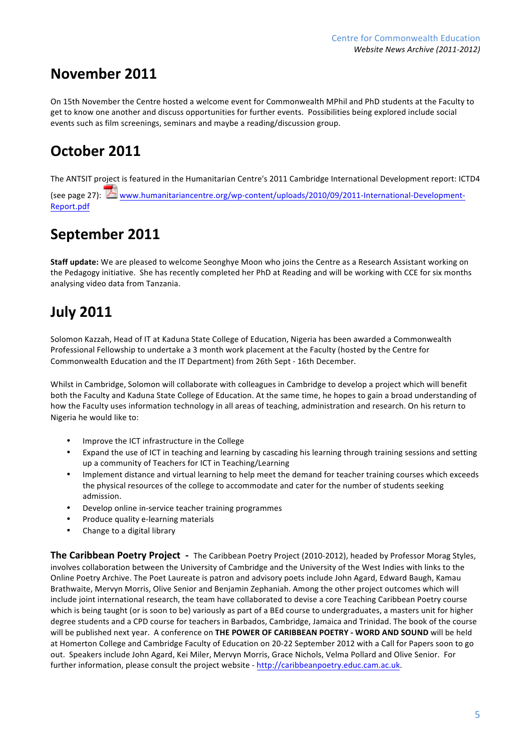### **November'2011**

On 15th November the Centre hosted a welcome event for Commonwealth MPhil and PhD students at the Faculty to get to know one another and discuss opportunities for further events. Possibilities being explored include social events such as film screenings, seminars and maybe a reading/discussion group.

# **October'2011**

The ANTSIT project is featured in the Humanitarian Centre's 2011 Cambridge International Development report: ICTD4 (see page 27): www.humanitariancentre.org/wp-content/uploads/2010/09/2011-International-Development-Report.pdf

# September 2011

**Staff update:** We are pleased to welcome Seonghye Moon who joins the Centre as a Research Assistant working on the Pedagogy initiative. She has recently completed her PhD at Reading and will be working with CCE for six months analysing video data from Tanzania.

# **July'2011**

Solomon Kazzah, Head of IT at Kaduna State College of Education, Nigeria has been awarded a Commonwealth Professional Fellowship to undertake a 3 month work placement at the Faculty (hosted by the Centre for Commonwealth Education and the IT Department) from 26th Sept - 16th December.

Whilst in Cambridge, Solomon will collaborate with colleagues in Cambridge to develop a project which will benefit both the Faculty and Kaduna State College of Education. At the same time, he hopes to gain a broad understanding of how the Faculty uses information technology in all areas of teaching, administration and research. On his return to Nigeria he would like to:

- Improve the ICT infrastructure in the College
- Expand the use of ICT in teaching and learning by cascading his learning through training sessions and setting up a community of Teachers for ICT in Teaching/Learning
- Implement distance and virtual learning to help meet the demand for teacher training courses which exceeds the physical resources of the college to accommodate and cater for the number of students seeking admission.
- Develop online in-service teacher training programmes
- Produce quality e-learning materials
- Change to a digital library

**The Caribbean Poetry Project** - The Caribbean Poetry Project (2010-2012), headed by Professor Morag Styles, involves collaboration between the University of Cambridge and the University of the West Indies with links to the Online Poetry Archive. The Poet Laureate is patron and advisory poets include John Agard, Edward Baugh, Kamau Brathwaite, Mervyn Morris, Olive Senior and Benjamin Zephaniah. Among the other project outcomes which will include joint international research, the team have collaborated to devise a core Teaching Caribbean Poetry course which is being taught (or is soon to be) variously as part of a BEd course to undergraduates, a masters unit for higher degree students and a CPD course for teachers in Barbados, Cambridge, Jamaica and Trinidad. The book of the course will be published next year. A conference on THE POWER OF CARIBBEAN POETRY - WORD AND SOUND will be held at Homerton College and Cambridge Faculty of Education on 20-22 September 2012 with a Call for Papers soon to go out. Speakers include John Agard, Kei Miler, Mervyn Morris, Grace Nichols, Velma Pollard and Olive Senior. For further information, please consult the project website - http://caribbeanpoetry.educ.cam.ac.uk.